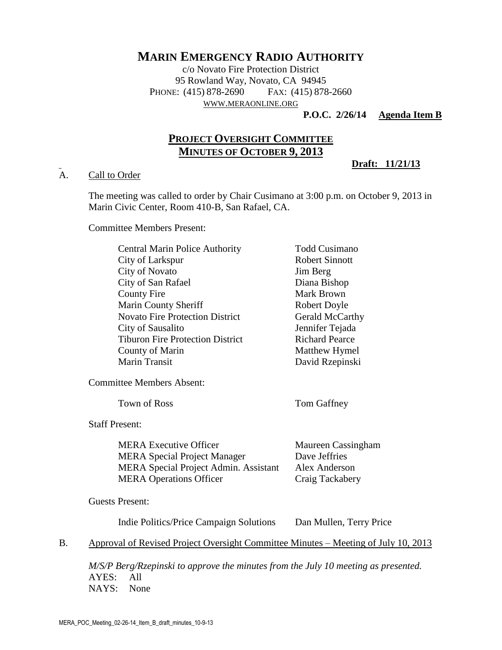# **MARIN EMERGENCY RADIO AUTHORITY**

c/o Novato Fire Protection District 95 Rowland Way, Novato, CA 94945 PHONE: (415) 878-2690 FAX: (415) 878-2660 WWW.[MERAONLINE](http://www.meraonline.org/).ORG

**P.O.C. 2/26/14 Agenda Item B**

**Draft: 11/21/13**

# **PROJECT OVERSIGHT COMMITTEE MINUTES OF OCTOBER 9, 2013**

### A. Call to Order

The meeting was called to order by Chair Cusimano at 3:00 p.m. on October 9, 2013 in Marin Civic Center, Room 410-B, San Rafael, CA.

Committee Members Present:

| <b>Central Marin Police Authority</b>   | <b>Todd Cusimano</b>  |
|-----------------------------------------|-----------------------|
| City of Larkspur                        | <b>Robert Sinnott</b> |
| City of Novato                          | Jim Berg              |
| City of San Rafael                      | Diana Bishop          |
| County Fire                             | Mark Brown            |
| <b>Marin County Sheriff</b>             | <b>Robert Doyle</b>   |
| <b>Novato Fire Protection District</b>  | Gerald McCarthy       |
| City of Sausalito                       | Jennifer Tejada       |
| <b>Tiburon Fire Protection District</b> | <b>Richard Pearce</b> |
| County of Marin                         | Matthew Hymel         |
| Marin Transit                           | David Rzepinski       |
|                                         |                       |

Committee Members Absent:

Town of Ross Tom Gaffney

Staff Present:

| <b>MERA Executive Officer</b>                | Maureen Cassingham |
|----------------------------------------------|--------------------|
| <b>MERA</b> Special Project Manager          | Dave Jeffries      |
| <b>MERA</b> Special Project Admin. Assistant | Alex Anderson      |
| <b>MERA Operations Officer</b>               | Craig Tackabery    |

Guests Present:

Indie Politics/Price Campaign Solutions Dan Mullen, Terry Price

B. Approval of Revised Project Oversight Committee Minutes – Meeting of July 10, 2013

*M/S/P Berg/Rzepinski to approve the minutes from the July 10 meeting as presented.* AYES: All NAYS: None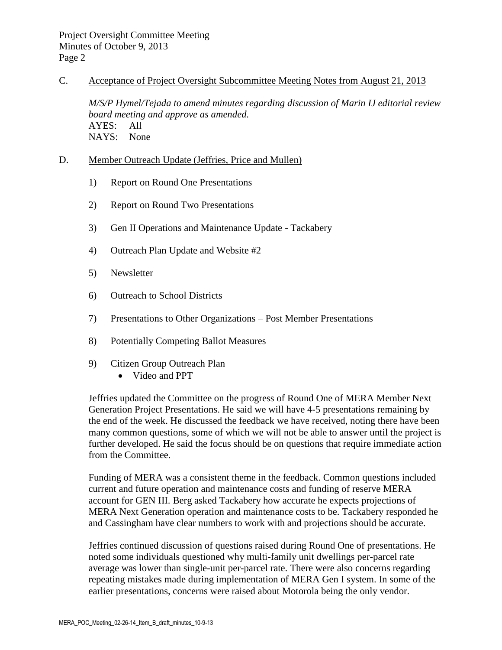#### C. Acceptance of Project Oversight Subcommittee Meeting Notes from August 21, 2013

*M/S/P Hymel/Tejada to amend minutes regarding discussion of Marin IJ editorial review board meeting and approve as amended.* AYES: All NAYS: None

### D. Member Outreach Update (Jeffries, Price and Mullen)

- 1) Report on Round One Presentations
- 2) Report on Round Two Presentations
- 3) Gen II Operations and Maintenance Update Tackabery
- 4) Outreach Plan Update and Website #2
- 5) Newsletter
- 6) Outreach to School Districts
- 7) Presentations to Other Organizations Post Member Presentations
- 8) Potentially Competing Ballot Measures
- 9) Citizen Group Outreach Plan
	- Video and PPT

Jeffries updated the Committee on the progress of Round One of MERA Member Next Generation Project Presentations. He said we will have 4-5 presentations remaining by the end of the week. He discussed the feedback we have received, noting there have been many common questions, some of which we will not be able to answer until the project is further developed. He said the focus should be on questions that require immediate action from the Committee.

Funding of MERA was a consistent theme in the feedback. Common questions included current and future operation and maintenance costs and funding of reserve MERA account for GEN III. Berg asked Tackabery how accurate he expects projections of MERA Next Generation operation and maintenance costs to be. Tackabery responded he and Cassingham have clear numbers to work with and projections should be accurate.

Jeffries continued discussion of questions raised during Round One of presentations. He noted some individuals questioned why multi-family unit dwellings per-parcel rate average was lower than single-unit per-parcel rate. There were also concerns regarding repeating mistakes made during implementation of MERA Gen I system. In some of the earlier presentations, concerns were raised about Motorola being the only vendor.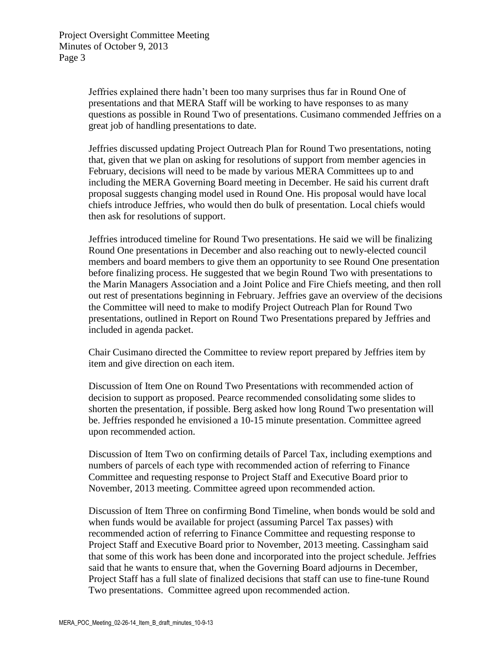Jeffries explained there hadn't been too many surprises thus far in Round One of presentations and that MERA Staff will be working to have responses to as many questions as possible in Round Two of presentations. Cusimano commended Jeffries on a great job of handling presentations to date.

Jeffries discussed updating Project Outreach Plan for Round Two presentations, noting that, given that we plan on asking for resolutions of support from member agencies in February, decisions will need to be made by various MERA Committees up to and including the MERA Governing Board meeting in December. He said his current draft proposal suggests changing model used in Round One. His proposal would have local chiefs introduce Jeffries, who would then do bulk of presentation. Local chiefs would then ask for resolutions of support.

Jeffries introduced timeline for Round Two presentations. He said we will be finalizing Round One presentations in December and also reaching out to newly-elected council members and board members to give them an opportunity to see Round One presentation before finalizing process. He suggested that we begin Round Two with presentations to the Marin Managers Association and a Joint Police and Fire Chiefs meeting, and then roll out rest of presentations beginning in February. Jeffries gave an overview of the decisions the Committee will need to make to modify Project Outreach Plan for Round Two presentations, outlined in Report on Round Two Presentations prepared by Jeffries and included in agenda packet.

Chair Cusimano directed the Committee to review report prepared by Jeffries item by item and give direction on each item.

Discussion of Item One on Round Two Presentations with recommended action of decision to support as proposed. Pearce recommended consolidating some slides to shorten the presentation, if possible. Berg asked how long Round Two presentation will be. Jeffries responded he envisioned a 10-15 minute presentation. Committee agreed upon recommended action.

Discussion of Item Two on confirming details of Parcel Tax, including exemptions and numbers of parcels of each type with recommended action of referring to Finance Committee and requesting response to Project Staff and Executive Board prior to November, 2013 meeting. Committee agreed upon recommended action.

Discussion of Item Three on confirming Bond Timeline, when bonds would be sold and when funds would be available for project (assuming Parcel Tax passes) with recommended action of referring to Finance Committee and requesting response to Project Staff and Executive Board prior to November, 2013 meeting. Cassingham said that some of this work has been done and incorporated into the project schedule. Jeffries said that he wants to ensure that, when the Governing Board adjourns in December, Project Staff has a full slate of finalized decisions that staff can use to fine-tune Round Two presentations. Committee agreed upon recommended action.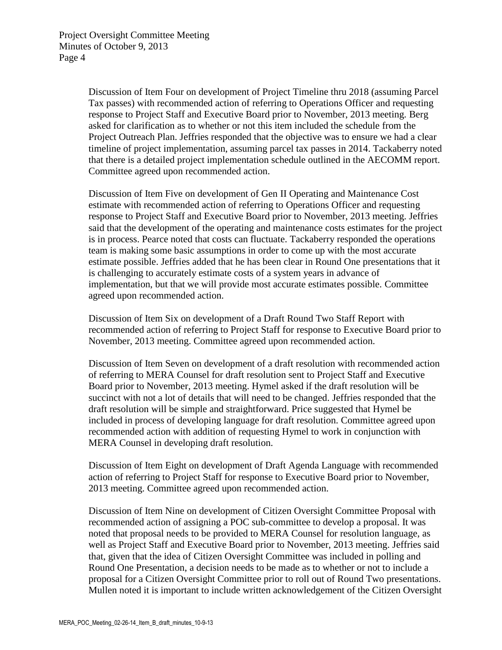Discussion of Item Four on development of Project Timeline thru 2018 (assuming Parcel Tax passes) with recommended action of referring to Operations Officer and requesting response to Project Staff and Executive Board prior to November, 2013 meeting. Berg asked for clarification as to whether or not this item included the schedule from the Project Outreach Plan. Jeffries responded that the objective was to ensure we had a clear timeline of project implementation, assuming parcel tax passes in 2014. Tackaberry noted that there is a detailed project implementation schedule outlined in the AECOMM report. Committee agreed upon recommended action.

Discussion of Item Five on development of Gen II Operating and Maintenance Cost estimate with recommended action of referring to Operations Officer and requesting response to Project Staff and Executive Board prior to November, 2013 meeting. Jeffries said that the development of the operating and maintenance costs estimates for the project is in process. Pearce noted that costs can fluctuate. Tackaberry responded the operations team is making some basic assumptions in order to come up with the most accurate estimate possible. Jeffries added that he has been clear in Round One presentations that it is challenging to accurately estimate costs of a system years in advance of implementation, but that we will provide most accurate estimates possible. Committee agreed upon recommended action.

Discussion of Item Six on development of a Draft Round Two Staff Report with recommended action of referring to Project Staff for response to Executive Board prior to November, 2013 meeting. Committee agreed upon recommended action.

Discussion of Item Seven on development of a draft resolution with recommended action of referring to MERA Counsel for draft resolution sent to Project Staff and Executive Board prior to November, 2013 meeting. Hymel asked if the draft resolution will be succinct with not a lot of details that will need to be changed. Jeffries responded that the draft resolution will be simple and straightforward. Price suggested that Hymel be included in process of developing language for draft resolution. Committee agreed upon recommended action with addition of requesting Hymel to work in conjunction with MERA Counsel in developing draft resolution.

Discussion of Item Eight on development of Draft Agenda Language with recommended action of referring to Project Staff for response to Executive Board prior to November, 2013 meeting. Committee agreed upon recommended action.

Discussion of Item Nine on development of Citizen Oversight Committee Proposal with recommended action of assigning a POC sub-committee to develop a proposal. It was noted that proposal needs to be provided to MERA Counsel for resolution language, as well as Project Staff and Executive Board prior to November, 2013 meeting. Jeffries said that, given that the idea of Citizen Oversight Committee was included in polling and Round One Presentation, a decision needs to be made as to whether or not to include a proposal for a Citizen Oversight Committee prior to roll out of Round Two presentations. Mullen noted it is important to include written acknowledgement of the Citizen Oversight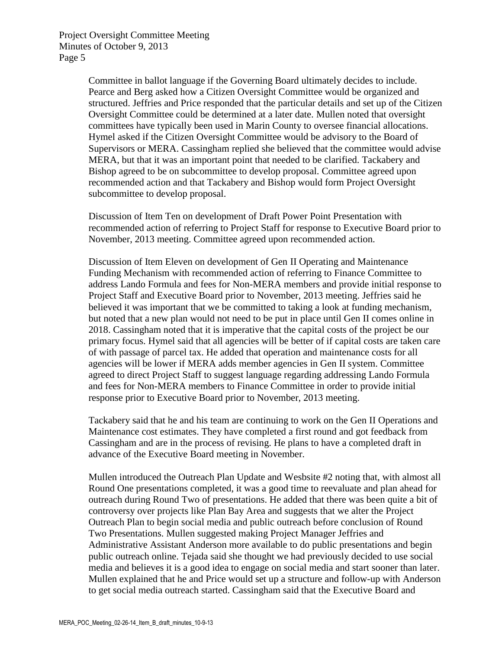Committee in ballot language if the Governing Board ultimately decides to include. Pearce and Berg asked how a Citizen Oversight Committee would be organized and structured. Jeffries and Price responded that the particular details and set up of the Citizen Oversight Committee could be determined at a later date. Mullen noted that oversight committees have typically been used in Marin County to oversee financial allocations. Hymel asked if the Citizen Oversight Committee would be advisory to the Board of Supervisors or MERA. Cassingham replied she believed that the committee would advise MERA, but that it was an important point that needed to be clarified. Tackabery and Bishop agreed to be on subcommittee to develop proposal. Committee agreed upon recommended action and that Tackabery and Bishop would form Project Oversight subcommittee to develop proposal.

Discussion of Item Ten on development of Draft Power Point Presentation with recommended action of referring to Project Staff for response to Executive Board prior to November, 2013 meeting. Committee agreed upon recommended action.

Discussion of Item Eleven on development of Gen II Operating and Maintenance Funding Mechanism with recommended action of referring to Finance Committee to address Lando Formula and fees for Non-MERA members and provide initial response to Project Staff and Executive Board prior to November, 2013 meeting. Jeffries said he believed it was important that we be committed to taking a look at funding mechanism, but noted that a new plan would not need to be put in place until Gen II comes online in 2018. Cassingham noted that it is imperative that the capital costs of the project be our primary focus. Hymel said that all agencies will be better of if capital costs are taken care of with passage of parcel tax. He added that operation and maintenance costs for all agencies will be lower if MERA adds member agencies in Gen II system. Committee agreed to direct Project Staff to suggest language regarding addressing Lando Formula and fees for Non-MERA members to Finance Committee in order to provide initial response prior to Executive Board prior to November, 2013 meeting.

Tackabery said that he and his team are continuing to work on the Gen II Operations and Maintenance cost estimates. They have completed a first round and got feedback from Cassingham and are in the process of revising. He plans to have a completed draft in advance of the Executive Board meeting in November.

Mullen introduced the Outreach Plan Update and Wesbsite #2 noting that, with almost all Round One presentations completed, it was a good time to reevaluate and plan ahead for outreach during Round Two of presentations. He added that there was been quite a bit of controversy over projects like Plan Bay Area and suggests that we alter the Project Outreach Plan to begin social media and public outreach before conclusion of Round Two Presentations. Mullen suggested making Project Manager Jeffries and Administrative Assistant Anderson more available to do public presentations and begin public outreach online. Tejada said she thought we had previously decided to use social media and believes it is a good idea to engage on social media and start sooner than later. Mullen explained that he and Price would set up a structure and follow-up with Anderson to get social media outreach started. Cassingham said that the Executive Board and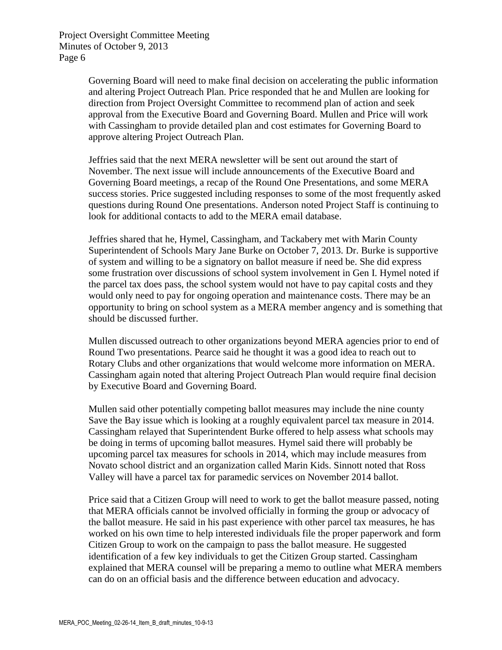Project Oversight Committee Meeting Minutes of October 9, 2013 Page 6

> Governing Board will need to make final decision on accelerating the public information and altering Project Outreach Plan. Price responded that he and Mullen are looking for direction from Project Oversight Committee to recommend plan of action and seek approval from the Executive Board and Governing Board. Mullen and Price will work with Cassingham to provide detailed plan and cost estimates for Governing Board to approve altering Project Outreach Plan.

> Jeffries said that the next MERA newsletter will be sent out around the start of November. The next issue will include announcements of the Executive Board and Governing Board meetings, a recap of the Round One Presentations, and some MERA success stories. Price suggested including responses to some of the most frequently asked questions during Round One presentations. Anderson noted Project Staff is continuing to look for additional contacts to add to the MERA email database.

> Jeffries shared that he, Hymel, Cassingham, and Tackabery met with Marin County Superintendent of Schools Mary Jane Burke on October 7, 2013. Dr. Burke is supportive of system and willing to be a signatory on ballot measure if need be. She did express some frustration over discussions of school system involvement in Gen I. Hymel noted if the parcel tax does pass, the school system would not have to pay capital costs and they would only need to pay for ongoing operation and maintenance costs. There may be an opportunity to bring on school system as a MERA member angency and is something that should be discussed further.

Mullen discussed outreach to other organizations beyond MERA agencies prior to end of Round Two presentations. Pearce said he thought it was a good idea to reach out to Rotary Clubs and other organizations that would welcome more information on MERA. Cassingham again noted that altering Project Outreach Plan would require final decision by Executive Board and Governing Board.

Mullen said other potentially competing ballot measures may include the nine county Save the Bay issue which is looking at a roughly equivalent parcel tax measure in 2014. Cassingham relayed that Superintendent Burke offered to help assess what schools may be doing in terms of upcoming ballot measures. Hymel said there will probably be upcoming parcel tax measures for schools in 2014, which may include measures from Novato school district and an organization called Marin Kids. Sinnott noted that Ross Valley will have a parcel tax for paramedic services on November 2014 ballot.

Price said that a Citizen Group will need to work to get the ballot measure passed, noting that MERA officials cannot be involved officially in forming the group or advocacy of the ballot measure. He said in his past experience with other parcel tax measures, he has worked on his own time to help interested individuals file the proper paperwork and form Citizen Group to work on the campaign to pass the ballot measure. He suggested identification of a few key individuals to get the Citizen Group started. Cassingham explained that MERA counsel will be preparing a memo to outline what MERA members can do on an official basis and the difference between education and advocacy.